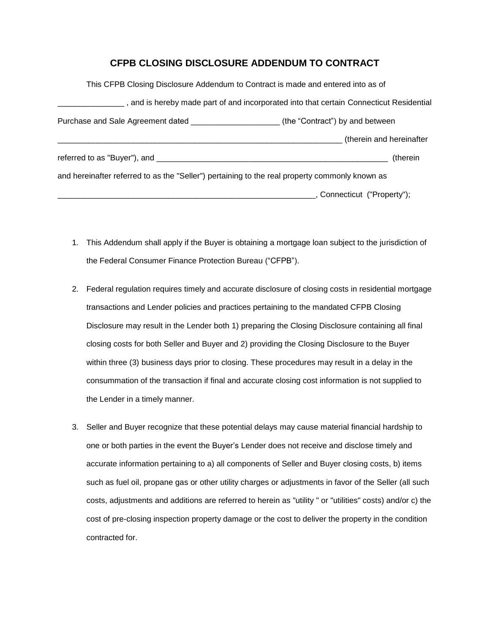## **CFPB CLOSING DISCLOSURE ADDENDUM TO CONTRACT**

| This CFPB Closing Disclosure Addendum to Contract is made and entered into as of               |                                                                                              |
|------------------------------------------------------------------------------------------------|----------------------------------------------------------------------------------------------|
|                                                                                                | $\_$ , and is hereby made part of and incorporated into that certain Connecticut Residential |
|                                                                                                | (the "Contract") by and between                                                              |
|                                                                                                | therein and hereinafter                                                                      |
| referred to as "Buyer"), and __________                                                        | (therein                                                                                     |
| and hereinafter referred to as the "Seller") pertaining to the real property commonly known as |                                                                                              |
|                                                                                                | Connecticut ("Property");                                                                    |

- 1. This Addendum shall apply if the Buyer is obtaining a mortgage loan subject to the jurisdiction of the Federal Consumer Finance Protection Bureau ("CFPB").
- 2. Federal regulation requires timely and accurate disclosure of closing costs in residential mortgage transactions and Lender policies and practices pertaining to the mandated CFPB Closing Disclosure may result in the Lender both 1) preparing the Closing Disclosure containing all final closing costs for both Seller and Buyer and 2) providing the Closing Disclosure to the Buyer within three (3) business days prior to closing. These procedures may result in a delay in the consummation of the transaction if final and accurate closing cost information is not supplied to the Lender in a timely manner.
- 3. Seller and Buyer recognize that these potential delays may cause material financial hardship to one or both parties in the event the Buyer's Lender does not receive and disclose timely and accurate information pertaining to a) all components of Seller and Buyer closing costs, b) items such as fuel oil, propane gas or other utility charges or adjustments in favor of the Seller (all such costs, adjustments and additions are referred to herein as "utility " or "utilities" costs) and/or c) the cost of pre-closing inspection property damage or the cost to deliver the property in the condition contracted for.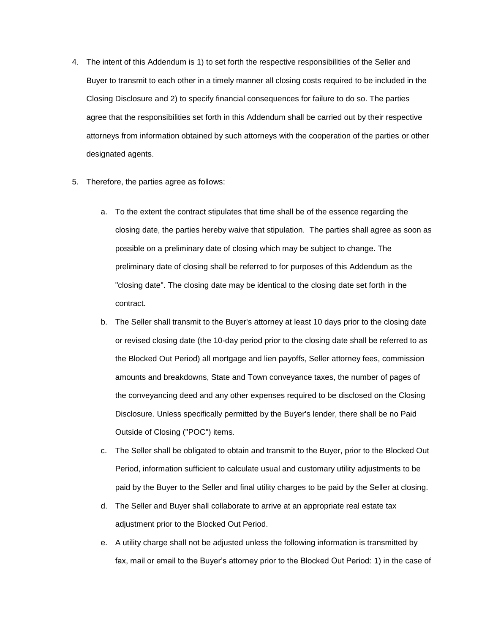- 4. The intent of this Addendum is 1) to set forth the respective responsibilities of the Seller and Buyer to transmit to each other in a timely manner all closing costs required to be included in the Closing Disclosure and 2) to specify financial consequences for failure to do so. The parties agree that the responsibilities set forth in this Addendum shall be carried out by their respective attorneys from information obtained by such attorneys with the cooperation of the parties or other designated agents.
- 5. Therefore, the parties agree as follows:
	- a. To the extent the contract stipulates that time shall be of the essence regarding the closing date, the parties hereby waive that stipulation. The parties shall agree as soon as possible on a preliminary date of closing which may be subject to change. The preliminary date of closing shall be referred to for purposes of this Addendum as the "closing date". The closing date may be identical to the closing date set forth in the contract.
	- b. The Seller shall transmit to the Buyer's attorney at least 10 days prior to the closing date or revised closing date (the 10-day period prior to the closing date shall be referred to as the Blocked Out Period) all mortgage and lien payoffs, Seller attorney fees, commission amounts and breakdowns, State and Town conveyance taxes, the number of pages of the conveyancing deed and any other expenses required to be disclosed on the Closing Disclosure. Unless specifically permitted by the Buyer's lender, there shall be no Paid Outside of Closing ("POC") items.
	- c. The Seller shall be obligated to obtain and transmit to the Buyer, prior to the Blocked Out Period, information sufficient to calculate usual and customary utility adjustments to be paid by the Buyer to the Seller and final utility charges to be paid by the Seller at closing.
	- d. The Seller and Buyer shall collaborate to arrive at an appropriate real estate tax adjustment prior to the Blocked Out Period.
	- e. A utility charge shall not be adjusted unless the following information is transmitted by fax, mail or email to the Buyer's attorney prior to the Blocked Out Period: 1) in the case of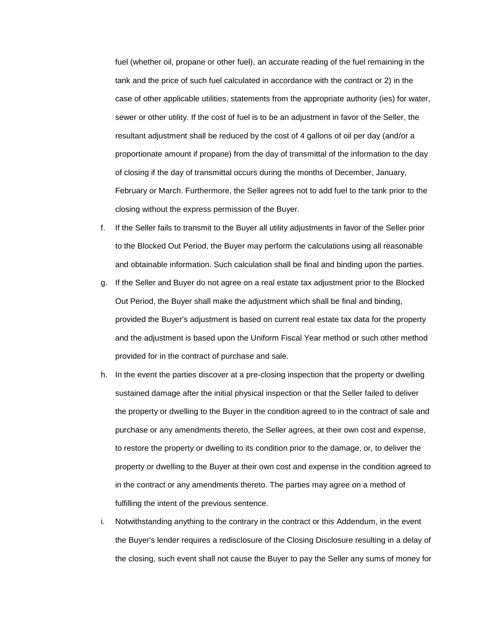fuel (whether oil, propane or other fuel), an accurate reading of the fuel remaining in the tank and the price of such fuel calculated in accordance with the contract or 2) in the case of other applicable utilities, statements from the appropriate authority (ies) for water, sewer or other utility. If the cost of fuel is to be an adjustment in favor of the Seller, the resultant adjustment shall be reduced by the cost of 4 gallons of oil per day (and/or a proportionate amount if propane) from the day of transmittal of the information to the day of closing if the day of transmittal occurs during the months of December, January, February or March. Furthermore, the Seller agrees not to add fuel to the tank prior to the closing without the express permission of the Buyer.

- f. If the Seller fails to transmit to the Buyer all utility adjustments in favor of the Seller prior to the Blocked Out Period, the Buyer may perform the calculations using all reasonable and obtainable information. Such calculation shall be final and binding upon the parties.
- g. If the Seller and Buyer do not agree on a real estate tax adjustment prior to the Blocked Out Period, the Buyer shall make the adjustment which shall be final and binding, provided the Buyer's adjustment is based on current real estate tax data for the property and the adjustment is based upon the Uniform Fiscal Year method or such other method provided for in the contract of purchase and sale.
- h. In the event the parties discover at a pre-closing inspection that the property or dwelling sustained damage after the initial physical inspection or that the Seller failed to deliver the property or dwelling to the Buyer in the condition agreed to in the contract of sale and purchase or any amendments thereto, the Seller agrees, at their own cost and expense, to restore the property or dwelling to its condition prior to the damage, or, to deliver the property or dwelling to the Buyer at their own cost and expense in the condition agreed to in the contract or any amendments thereto. The parties may agree on a method of fulfilling the intent of the previous sentence.
- i. Notwithstanding anything to the contrary in the contract or this Addendum, in the event the Buyer's lender requires a redisclosure of the Closing Disclosure resulting in a delay of the closing, such event shall not cause the Buyer to pay the Seller any sums of money for